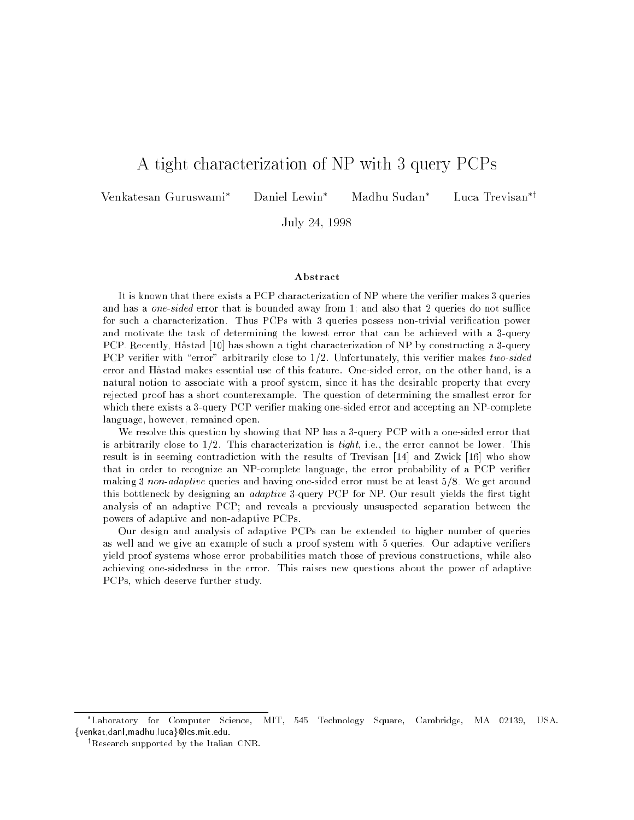# A tight characterization of NP with 3 query PCPs

Venkatesan Guruswami<sup>\*</sup> Daniel Lewin<sup>\*</sup> Madhu Sudan<sup>\*</sup>

Luca Trevisan<sup>\*†</sup>

July 24, 1998

#### Abstract

It is known that there exists a PCP characterization of NP where the verifier makes 3 queries and has a *one-sided* error that is bounded away from 1; and also that 2 queries do not suffice for such a characterization. Thus PCPs with 3 queries possess non-trivial verification power and motivate the task of determining the lowest error that can be achieved with <sup>a</sup> 3-query PCP. Recently, Hastad [10] has shown a tight characterization of NP by constructing a 3-query PCP verifier with "error" arbitrarily close to  $1/2$ . Unfortunately, this verifier makes two-sided error and Hastad makes essential use of this feature. One-sided error, on the other hand, is a natural notion to associate with a proof system, since it has the desirable property that every rejected proof has a short counterexample. The question of determining the smallest error for which there exists a 3-query PCP verifier making one-sided error and accepting an NP-complete language, however, remained open.

We resolve this question by showing that NP has a 3-query PCP with a one-sided error that is arbitrarily close to  $1/2$ . This characterization is tight, i.e., the error cannot be lower. This result is in seeming contradiction with the results of Trevisan [14] and Zwick [16] who show that in order to recognize an NP-complete language, the error probability of a PCP verifier making 3 non-adaptive queries and having one-sided error must be at least  $5/8$ . We get around this bottleneck by designing an *adaptive* 3-query PCP for NP. Our result yields the first tight analysis of an adaptive PCP; and reveals <sup>a</sup> previously unsuspected separation between the powers of adaptive and non-adaptive PCPs.

Our design and analysis of adaptive PCPs can be extended to higher number of queries as well and we give an example of such a proof system with 5 queries. Our adaptive veriers yield proof systems whose error probabilities match those of previous constructions, while also achieving one-sidedness in the error. This raises new questions about the power of adaptive PCPs, which deserve further study.

Laboratory for Computer Science, MIT, 545 Technology Square, Cambridge, MA 02139, USA. <sup>f</sup>venkat,danl,madhu,lucag@lcs.mit.edu.

<sup>y</sup> Research supported by the Italian CNR.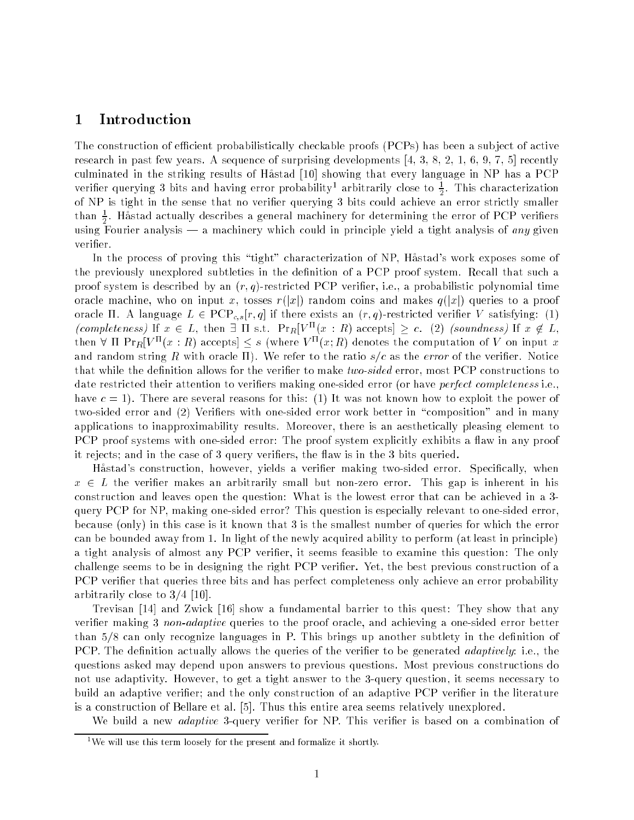# 1 Introduction

The construction of efficient probabilistically checkable proofs (PCPs) has been a subject of active research in past few years. A sequence of surprising developments  $[4, 3, 8, 2, 1, 6, 9, 7, 5]$  recently culminated in the striking results of Hastad [10] showing that every language in NP has a PCP veriner querying 3 bits and naving error probability<sup>1</sup> arbitrarily close to  $\frac{1}{2}$ . Inis characterization  $\overline{\phantom{a}}$ of NP is tight in the sense that no verified achieve and  $\mathcal{N}$  bits could achieve an error strictly smaller smaller smaller smaller smaller smaller smaller smaller smaller smaller smaller smaller smaller smaller than  $\hat{\pi}$ . Hastad actually describes a general machinery for determining the error of PCP verifiers  $\overline{\phantom{a}}$ which  $\alpha$  fourier and  $\alpha$  mathinery which could in principle yield a tight and  $\alpha$  and  $\alpha$  and verifier.

In the process of proving this \tight" characterization of NP, Hastad's work exposes some of the previously unexplored subtleties in the definition of a PCP proof system. Recall that such a proof system is described by an  $(r, q)$ -restricted PCP verifier, i.e., a probabilistic polynomial time oracle machine, who on input x, tosses  $r(|x|)$  random coins and makes  $q(|x|)$  queries to a proof oracle  $\Pi$ . A language  $L \in {\rm PCP}_{c,s}[r, q]$  if there exists an  $(r, q)$ -restricted verifier V satisfying: (1) (completeness) If  $x \in L$ , then  $\exists$  If s.t. Pr $R[V^{\infty}(x : R)$  accepts  $\geq c$ . (2) (soundness) If  $x \notin L$ , then v if  $\Pr[Y \cap (x : R)$  accepts  $] \leq s$  (where  $V \cap (x; R)$  denotes the computation of V on input x and random string R with oracle  $\Pi$ ). We refer to the ratio  $s/c$  as the error of the verifier. Notice that while the definition allows for the verifier to make two-sided error, most PCP constructions to date restricted their attention to verifiers making one-sided error (or have *perfect completeness* i.e., have  $c = 1$ ). There are several reasons for this: (1) It was not known how to exploit the power of two-sided error and (2) Verifiers with one-sided error work better in "composition" and in many applications to inapproximability results. Moreover, there is an aesthetically pleasing element to PCP proof systems with one-sided error: The proof system explicitly exhibits a flaw in any proof it rejects; and in the case of 3 query verifiers, the flaw is in the 3 bits queried.

Hastad's construction, however, yields a verier making two-sided error. Specically, when  $x \in L$  the verifier makes an arbitrarily small but non-zero error. This gap is inherent in his construction and leaves open the question: What is the lowest error that can be achieved in a 3 query PCP for NP, making one-sided error? This question is especially relevant to one-sided error, because (only) in this case is it known that 3 is the smallest number of queries for which the error can be bounded away from 1. In light of the newly acquired ability to perform (at least in principle) a tight analysis of almost any PCP verifier, it seems feasible to examine this question: The only challenge seems to be in designing the right PCP verier. Yet, the best previous construction of a PCP verifier that queries three bits and has perfect completeness only achieve an error probability arbitrarily close to 3/4 [10].

Trevisan [14] and Zwick [16] show a fundamental barrier to this quest: They show that any verifier making 3 non-adaptive queries to the proof oracle, and achieving a one-sided error better than 5/8 can only recognize languages in P. This brings up another subtlety in the definition of PCP. The definition actually allows the queries of the verifier to be generated *adaptively*: i.e., the questions asked may depend upon answers to previous questions. Most previous constructions do not use adaptivity. However, to get a tight answer to the 3-query question, it seems necessary to build an adaptive verifier; and the only construction of an adaptive PCP verifier in the literature is a construction of Bellare et al. [5]. Thus this entire area seems relatively unexplored.

We build a new *adaptive* 3-query verifier for NP. This verifier is based on a combination of

 $1$ <sup>1</sup>We will use this term loosely for the present and formalize it shortly.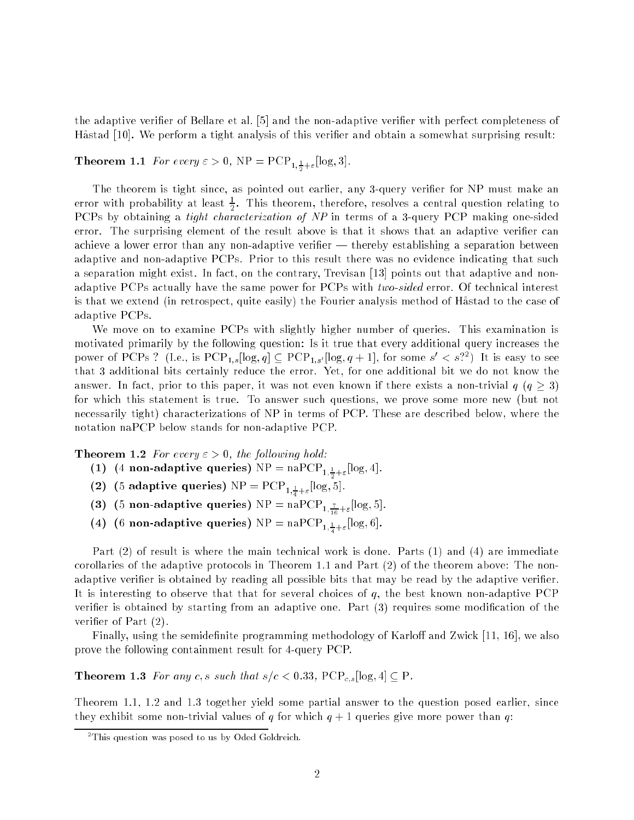the adaptive verifier of Bellare et al. [5] and the non-adaptive verifier with perfect completeness of Hastad [10]. We perform a tight analysis of this verier and obtain a somewhat surprising result:

 $T = 1.5$  For every  $\frac{1}{2}$  or  $\frac{1}{2}$ ;  $\frac{1}{2}$  or  $\frac{1}{2}$ ;  $\frac{1}{2}$ ;  $\frac{1}{2}$ ;  $\frac{1}{2}$ ;  $\frac{1}{2}$ ;  $\frac{1}{2}$ ;  $\frac{1}{2}$ ;  $\frac{1}{2}$ ;  $\frac{1}{2}$ ;  $\frac{1}{2}$ ;  $\frac{1}{2}$ ;  $\frac{1}{2}$ ;  $\frac{1}{2}$ ;  $\frac{1}{2}$ ;  $\frac{1}{2}$ ;

The theorem is tight since, as pointed out earlier, any 3-query verifier for NP must make an error with probability at least  $\frac{1}{6}$ . This theorem, therefore, resolves a central question relating to PCPs by obtaining a tight characterization of NP in terms of a 3-query PCP making one-sided error. The surprising element of the result above is that it shows that an adaptive verifier can achieve a lower error than any non-adaptive verifier  $-$  thereby establishing a separation between adaptive and non-adaptive PCPs. Prior to this result there was no evidence indicating that such a separation might exist. In fact, on the contrary, Trevisan [13] points out that adaptive and nonadaptive PCPs actually have the same power for PCPs with two-sided error. Of technical interest is that we extend (in retrospect, quite easily) the Fourier analysis method of Hastad to the case of adaptive PCPs.

We move on to examine PCPs with slightly higher number of queries. This examination is motivated primarily by the following question: Is it true that every additional query increases the power of PCPs : (i.e., is PCP<sub>1,s</sub>[log,  $q$ ]  $\subseteq$  PCP<sub>1,s'</sub>[log,  $q + 1$ ], for some  $s \leq s$ : ) it is easy to see that 3 additional bits certainly reduce the error. Yet, for one additional bit we do not know the answer. In fact, prior to this paper, it was not even known if there exists a non-trivial  $q \ (q > 3)$ for which this statement is true. To answer such questions, we prove some more new (but not necessarily tight) characterizations of NP in terms of PCP. These are described below, where the notation naPCP below stands for non-adaptive PCP.

**Theorem 1.2** For every  $\varepsilon > 0$ , the following hold:

- (-) (- ---- -------- q -------)  $-$  ------  $-$  1,  $\frac{1}{2}$ + $\varepsilon$ <sup>---</sup> 0)  $-$
- (2) (5 and  $\mathbf{r}$  is queries) i.e. the property of  $\mathbf{r}$
- (3)  $(3)$  non-adaptive queries) i.e. the napchilic  $1, \frac{16}{16} + \epsilon$  (3)  $(3)$ .
- (4) (6 non-adaptive queries)  $\frac{1}{2}$ . nar ex $\frac{1}{4}$ ;  $\frac{1}{4}$  =  $\frac{1}{6}$ ; 6).

Part (2) of result is where the main technical work is done. Parts (1) and (4) are immediate corollaries of the adaptive protocols in Theorem 1.1 and Part (2) of the theorem above: The nonadaptive verifier is obtained by reading all possible bits that may be read by the adaptive verifier. It is interesting to observe that that for several choices of  $q$ , the best known non-adaptive PCP verifier is obtained by starting from an adaptive one. Part  $(3)$  requires some modification of the verifier of Part  $(2)$ .

Finally, using the semidefinite programming methodology of Karloff and Zwick  $[11, 16]$ , we also prove the following containment result for 4-query PCP.

**Theorem 1.3** For any c, s such that  $s/c < 0.33$ , PCP<sub>c,s</sub> [log, 4]  $\subseteq$  P.

Theorem 1.1, 1.2 and 1.3 together yield some partial answer to the question posed earlier, since they exhibit some non-trivial values of q for which  $q + 1$  queries give more power than q:

<sup>2</sup> This question was posed to us by Oded Goldreich.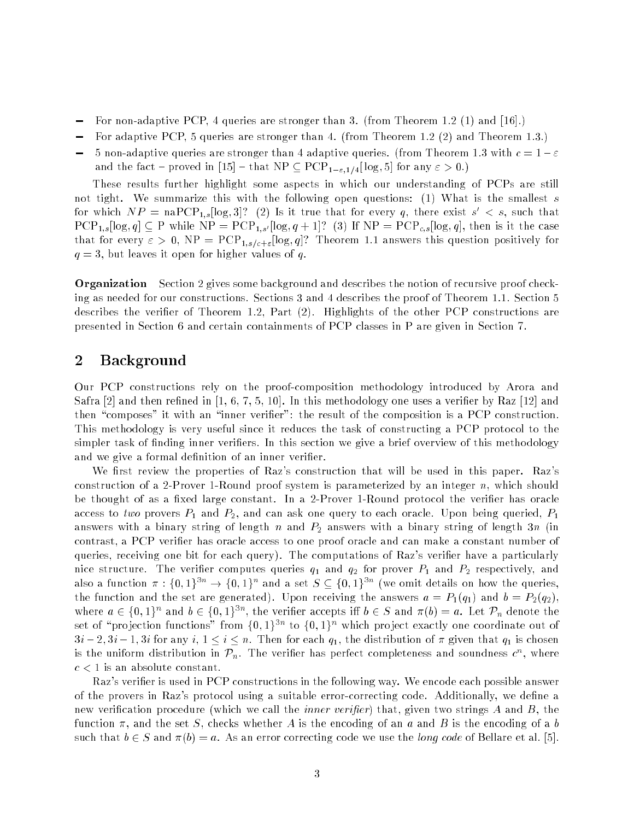- For non-adaptive PCP, 4 queries are stronger than 3. (from Theorem 1.2 (1) and [16].)
- For adaptive PCP, 5 queries are stronger than 4. (from Theorem 1.2 (2) and Theorem 1.3.)
- 5 non-adaptive queries are stronger than 4 adaptive queries. (from Theorem 1.3 with  $c = 1 \varepsilon$ and the fact – proved in [15] – that NP  $\subseteq$  PCP<sub>1- $\epsilon$ ,1/4</sub>[log, 5] for any  $\epsilon > 0$ .)

These results further highlight some aspects in which our understanding of PCPs are still not tight. We summarize this with the following open questions: (1) What is the smallest s for which  $N$  P = naPUP<sub>1,s</sub>  $\lfloor$ log, 3 $\rfloor$ : (2) is it true that for every q, there exist  $s^* < s,$  such that  $PCP_{1,s}[\log,q] \subseteq P$  while  $NP = PCP_{1,s'}[\log,q+1]$ ? (3) If  $NP = PCP_{c,s}[\log,q]$ , then is it the case that for every  $\varepsilon > 0$ , NP = PCP<sub>1,s/c+ $\varepsilon$ </sub>[log, q]? Theorem 1.1 answers this question positively for  $q=3$ , but leaves it open for higher values of q.

**Organization** Section 2 gives some background and describes the notion of recursive proof checking as needed for our constructions. Sections 3 and 4 describes the proof of Theorem 1.1. Section 5 describes the verifier of Theorem 1.2, Part (2). Highlights of the other PCP constructions are presented in Section 6 and certain containments of PCP classes in P are given in Section 7.

# 2 Background

Our PCP constructions rely on the proof-composition methodology introduced by Arora and Safra [2] and then refined in  $[1, 6, 7, 5, 10]$ . In this methodology one uses a verifier by Raz [12] and then "composes" it with an "inner verifier": the result of the composition is a PCP construction. This methodology is very useful since it reduces the task of constructing a PCP protocol to the simpler task of finding inner verifiers. In this section we give a brief overview of this methodology and we give a formal definition of an inner verifier.

We first review the properties of Raz's construction that will be used in this paper. Raz's construction of a 2-Prover 1-Round proof system is parameterized by an integer  $n$ , which should be thought of as a fixed large constant. In a 2-Prover 1-Round protocol the verifier has oracle access to two provers  $P_1$  and  $P_2$ , and can ask one query to each oracle. Upon being queried,  $P_1$ answers with a binary string of length n and  $P_2$  answers with a binary string of length 3n (in contrast, a PCP verifier has oracle access to one proof oracle and can make a constant number of queries, receiving one bit for each query). The computations of Raz's verifier have a particularly nice structure. The verifier computes queries  $q_1$  and  $q_2$  for prover  $P_1$  and  $P_2$  respectively, and also a function  $\pi$  : {0,1}  $\rightarrow$  {0,1} and a set  $S \subseteq$  {0,1}  $\rightarrow$  (we omit details on now the queries, the function and the set are generated). Upon receiving the answers  $a = P_1(q_1)$  and  $b = P_2(q_2)$ , where  $a \in \{0,1\}^{\sim}$  and  $b \in \{0,1\}^{\sim}$ , the verifier accepts in  $b \in S$  and  $\pi(b) = a$ . Let  $\mathcal{P}_n$  denote the  $\mathcal S$ et of  $\mathcal D$  pro jection functions  $\mathcal I$ rom f0; 1 $\mathcal I$ s $\mathcal I$  to f0; 1 $\mathcal I$ s $\mathcal I$  which profect exactly one coordinate out of  $3i-2, 3i-1, 3i$  for any  $i, 1 \le i \le n$ . Then for each  $q_1$ , the distribution of  $\pi$  given that  $q_1$  is chosen is the uniform distribution in  $\mathcal{F}_n.$  The verifier has perfect completeness and soundness  $c$  , where  $c < 1$  is an absolute constant.

Raz's verier is used in PCP constructions in the following way. We encode each possible answer of the provers in Raz's protocol using a suitable error-correcting code. Additionally, we dene a new verification procedure (which we call the *inner verifier*) that, given two strings A and B, the function  $\pi$ , and the set S, checks whether A is the encoding of an a and B is the encoding of a b such that  $b \in S$  and  $\pi(b) = a$ . As an error correcting code we use the *long code* of Bellare et al. [5].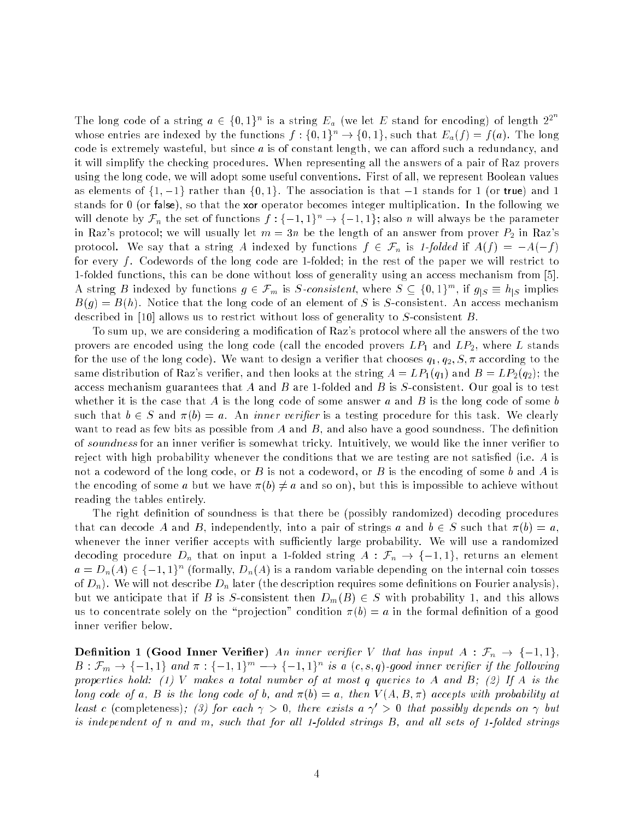The long code of a string  $a \in \{0,1\}^n$  is a string  $E_a$  (we let E stand for encoding) of length  $2^{2^n}$ whose entries are indexed by the functions  $f: \{0,1\}^n \to \{0,1\}$ , such that  $E_a(f) = f(a)$ . The long code is extremely wasteful, but since  $a$  is of constant length, we can afford such a redundancy, and it will simplify the checking procedures. When representing all the answers of a pair of Raz provers using the long code, we will adopt some useful conventions. First of all, we represent Boolean values as elements of  $\{1, -1\}$  rather than  $\{0, 1\}$ . The association is that  $-1$  stands for 1 (or true) and 1 stands for 0 (or false), so that the xor operator becomes integer multiplication. In the following we will denote by  $\mathcal{F}_n$  the set of functions  $f: \{-1, 1\}^n \to \{-1, 1\}$ ; also n will always be the parameter in Raz's protocol; we will usually let  $m = 3n$  be the length of an answer from prover  $P_2$  in Raz's protocol. We say that a string A indexed by functions  $f \in \mathcal{F}_n$  is 1-folded if  $A(f) = -A(-f)$ for every  $f$ . Codewords of the long code are 1-folded; in the rest of the paper we will restrict to 1-folded functions, this can be done without loss of generality using an access mechanism from [5]. A string B indexed by functions  $g \in \mathcal{F}_m$  is S-consistent, where  $S \subseteq \{0,1\}$ , if  $g_{|S} = n_{|S}$  implies  $B(g) = B(h)$ . Notice that the long code of an element of S is S-consistent. An access mechanism described in [10] allows us to restrict without loss of generality to S-consistent B.

To sum up, we are considering a modication of Raz's protocol where all the answers of the two provers are encoded using the long code (call the encoded provers  $LP_1$  and  $LP_2$ , where L stands for the use of the long code). We want to design a verifier that chooses  $q_1, q_2, S, \pi$  according to the same distribution of Raz's verifier, and then looks at the string  $A = LP_1(q_1)$  and  $B = LP_2(q_2)$ ; the access mechanism guarantees that A and B are 1-folded and B is  $S$ -consistent. Our goal is to test whether it is the case that A is the long code of some answer a and B is the long code of some b such that  $b \in S$  and  $\pi(b) = a$ . An *inner verifier* is a testing procedure for this task. We clearly want to read as few bits as possible from  $A$  and  $B$ , and also have a good soundness. The definition of soundness for an inner verifier is somewhat tricky. Intuitively, we would like the inner verifier to reject with high probability whenever the conditions that we are testing are not satisfied (i.e.  $A$  is not a codeword of the long code, or B is not a codeword, or B is the encoding of some b and A is the encoding of some a but we have  $\pi(b) \neq a$  and so on), but this is impossible to achieve without reading the tables entirely.

The right definition of soundness is that there be (possibly randomized) decoding procedures that can decode A and B, independently, into a pair of strings a and  $b \in S$  such that  $\pi(b) = a$ , whenever the inner verifier accepts with sufficiently large probability. We will use a randomized decoding procedure  $D_n$  that on input a 1-folded string  $A : \mathcal{F}_n \to \{-1,1\}$ , returns an element  $a = D_n(A) \in \{-1, 1\}^{\sim}$  (formally,  $D_n(A)$  is a random variable depending on the internal coin tosses of  $D_n$ ). We will not describe  $D_n$  later (the description requires some definitions on Fourier analysis). but we anticipate that if B is S-consistent then  $D_m(B) \in S$  with probability 1, and this allows us to concentrate solely on the "projection" condition  $\pi(b) = a$  in the formal definition of a good inner verifier below.

**Definition 1 (Good Inner Verifier)** An inner verifier V that has input  $A : \mathcal{F}_n \to \{-1,1\}$ ,  $D: \mathcal{F}_m \to \{-1,1\}$  and  $\pi: \{-1,1\}^{\cdots} \longrightarrow \{-1,1\}^{\cdots}$  is a  $(c,s,q)$ -good inner verifier if the following properties hold: (1) V makes a total number of at most q queries to A and B; (2) If A is the long code of a, B is the long code of b, and  $\pi(b) = a$ , then  $V(A, B, \pi)$  accepts with probability at least c (completeness); (3) for each  $\gamma > 0$ , there exists  $a \gamma' > 0$  that possibly depends on  $\gamma$  but is independent of n and m, such that for all 1-folded strings  $B$ , and all sets of 1-folded strings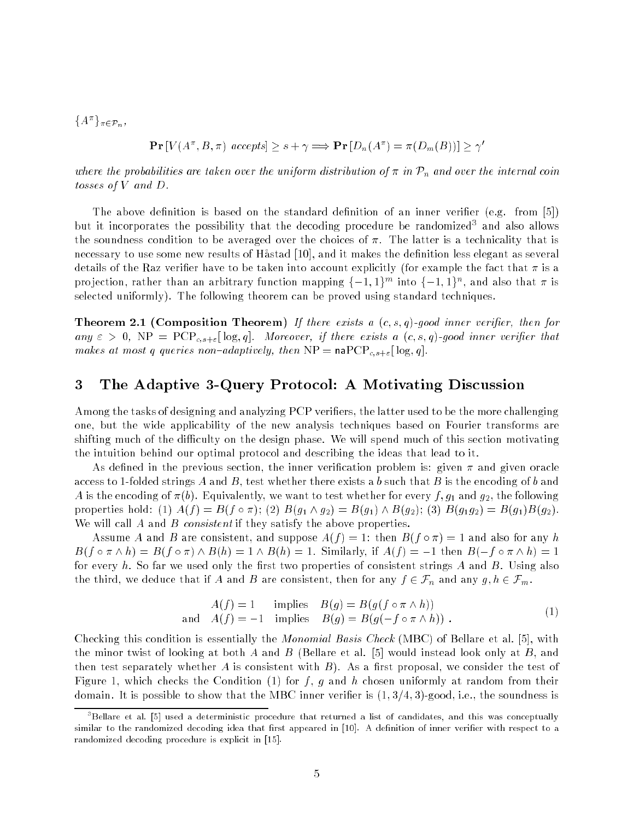$\{A \mid f \pi \in \mathcal{P}_n,$ 

$$
\Pr[V(A^{\pi}, B, \pi) \text{ accepts}] \ge s + \gamma \Longrightarrow \Pr[D_n(A^{\pi}) = \pi(D_m(B))] \ge \gamma'
$$

where the probabilities are taken over the uniform distribution of  $\pi$  in  $\mathcal{P}_n$  and over the internal coin tosses of V and D.

The above definition is based on the standard definition of an inner verifier (e.g. from [5]) but it incorporates the possibility that the decoding procedure be randomized<sup>3</sup> and also allows the soundness condition to be averaged over the choices of  $\pi$ . The latter is a technicality that is necessary to use some new results of Håstad [10], and it makes the definition less elegant as several details of the Raz verifier have to be taken into account explicitly (for example the fact that  $\pi$  is a pro jection, rather than an arbitrary function mapping  $\{-1,1\}$  and  $\{-1,1\}$ , and also that  $\pi$  is selected uniformly). The following theorem can be proved using standard techniques.

**Theorem 2.1 (Composition Theorem)** If there exists a  $(c, s, q)$ -good inner verifier, then for any  $\varepsilon > 0$ , NP = PCP<sub>c,s+ $\varepsilon$ </sub>[log,q]. Moreover, if there exists a  $(c, s, q)$ -good inner verifier that makes at most q queries non-adaptively, then  $NP = naPCP_{c,s+\epsilon} [\log,q]$ .

#### 3 The Adaptive 3-Query Protocol: A Motivating Discussion 3

Among the tasks of designing and analyzing PCP veriers, the latter used to be the more challenging one, but the wide applicability of the new analysis techniques based on Fourier transforms are shifting much of the difficulty on the design phase. We will spend much of this section motivating the intuition behind our optimal protocol and describing the ideas that lead to it.

As defined in the previous section, the inner verification problem is: given  $\pi$  and given oracle access to 1-folded strings A and B, test whether there exists a b such that B is the encoding of b and A is the encoding of  $\pi(b)$ . Equivalently, we want to test whether for every f,  $g_1$  and  $g_2$ , the following properties hold: (1)  $A(f) = B(f \circ \pi)$ ; (2)  $B(g_1 \wedge g_2) = B(g_1) \wedge B(g_2)$ ; (3)  $B(g_1g_2) = B(g_1)B(g_2)$ . We will call  $A$  and  $B$  consistent if they satisfy the above properties.

Assume A and B are consistent, and suppose  $A(f) = 1$ : then  $B(f \circ \pi) = 1$  and also for any h  $B(f \circ \pi \wedge h) = B(f \circ \pi) \wedge B(h) = 1 \wedge B(h) = 1$ . Similarly, if  $A(f) = -1$  then  $B(-f \circ \pi \wedge h) = 1$ for every h. So far we used only the first two properties of consistent strings  $A$  and  $B$ . Using also the third, we deduce that if A and B are consistent, then for any  $f \in \mathcal{F}_n$  and any  $g, h \in \mathcal{F}_m$ .

$$
A(f) = 1 \tmtext{ implies } B(g) = B(g(f \circ \pi \wedge h))
$$
  
and 
$$
A(f) = -1 \tmtext{ implies } B(g) = B(g(-f \circ \pi \wedge h)) .
$$
 (1)

Checking this condition is essentially the Monomial Basis Check (MBC) of Bellare et al. [5], with the minor twist of looking at both A and B (Bellare et al.  $|5|$  would instead look only at B, and then test separately whether A is consistent with  $B$ ). As a first proposal, we consider the test of Figure 1, which checks the Condition (1) for f, g and h chosen uniformly at random from their domain. It is possible to show that the MBC inner verifier is  $(1,3/4,3)$ -good, i.e., the soundness is

<sup>3</sup> Bellare et al. [5] used a deterministic procedure that returned a list of candidates, and this was conceptually similar to the randomized decoding idea that first appeared in [10]. A definition of inner verifier with respect to a randomized decoding procedure is explicit in [15].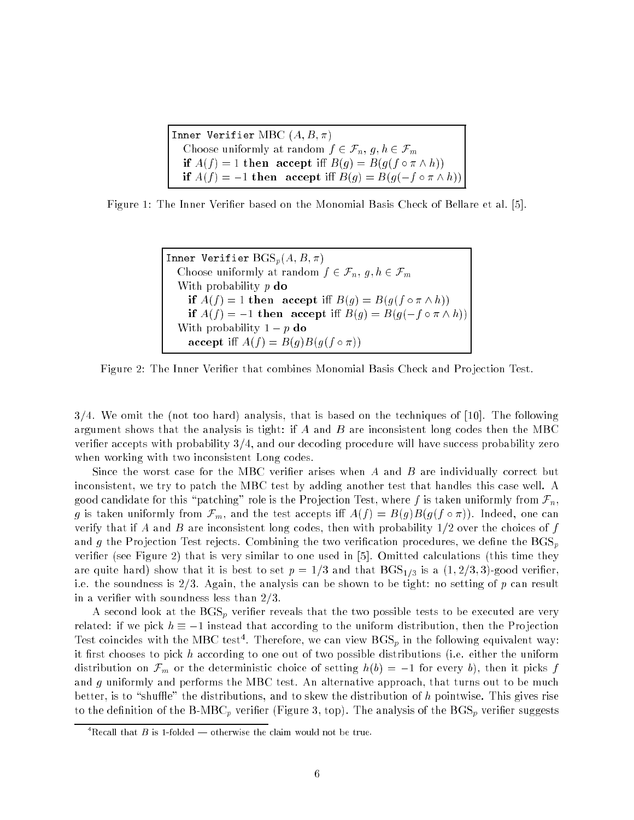Inner Verifier MBC  $(A, B, \pi)$ Choose uniformly at random  $f \in \mathcal{F}_n$ ,  $g, h \in \mathcal{F}_m$ if  $A(f) = 1$  then accept iff  $B(g) = B(g(f \circ \pi \wedge h))$ if  $A(f) = -1$  then accept iff  $B(g) = B(g(-f \circ \pi \wedge h))$ 

Figure 1: The Inner Verier based on the Monomial Basis Check of Bellare et al. [5].

```
Inner Verifier \text{BGS}_p(A, B, \pi)Choose uniformly at random f \in \mathcal{F}_n, g, h \in \mathcal{F}_mWith probability p do
if A(f) = 1 then accept iff B(g) = B(g(f \circ \pi \wedge h))if A(f) = -1 then accept iff B(g) = B(g(-f \circ \pi \wedge h))With probability 1 - p do
accept iff A(f) = B(g)B(g(f \circ \pi))
```
Figure 2: The Inner Verifier that combines Monomial Basis Check and Projection Test.

 $3/4$ . We omit the (not too hard) analysis, that is based on the techniques of [10]. The following argument shows that the analysis is tight: if  $A$  and  $B$  are inconsistent long codes then the MBC verifier accepts with probability  $3/4$ , and our decoding procedure will have success probability zero when working with two inconsistent Long codes.

Since the worst case for the MBC verifier arises when  $A$  and  $B$  are individually correct but inconsistent, we try to patch the MBC test by adding another test that handles this case well. A good candidate for this "patching" role is the Projection Test, where f is taken uniformly from  $\mathcal{F}_n$ , g is taken uniformly from  $\mathcal{F}_m$ , and the test accepts iff  $A(f) = B(g)B(g(f \circ \pi))$ . Indeed, one can verify that if A and B are inconsistent long codes, then with probability  $1/2$  over the choices of f and g the Projection Test rejects. Combining the two verification procedures, we define the  $BGS_p$ verifier (see Figure 2) that is very similar to one used in  $[5]$ . Omitted calculations (this time they are quite hard) show that it is best to set  $p = 1/3$  and that  $BGS<sub>1/3</sub>$  is a  $(1, 2/3, 3)$ -good verifier. i.e. the soundness is  $2/3$ . Again, the analysis can be shown to be tight: no setting of p can result in a verifier with soundness less than  $2/3$ .

A second look at the  $\mathrm{BGS}_p$  verifier reveals that the two possible tests to be executed are very related: if we pick  $h \equiv -1$  instead that according to the uniform distribution, then the Projection Test coincides with the MBC test4. Therefore, we can view  $\mathbf{D}\mathbf{G}\mathbf{S}_p$  in the following equivalent way: it first chooses to pick  $h$  according to one out of two possible distributions (i.e. either the uniform distribution on  $\mathcal{F}_m$  or the deterministic choice of setting  $h(b) = -1$  for every b), then it picks f and  $g$  uniformly and performs the MBC test. An alternative approach, that turns out to be much better, is to "shuffle" the distributions, and to skew the distribution of h pointwise. This gives rise to the definition of the B-MBC<sub>p</sub> verifier (Figure 3, top). The analysis of the BGS<sub>p</sub> verifier suggests

 $\Delta$  Recall that B is 1-folded — otherwise the claim would not be true.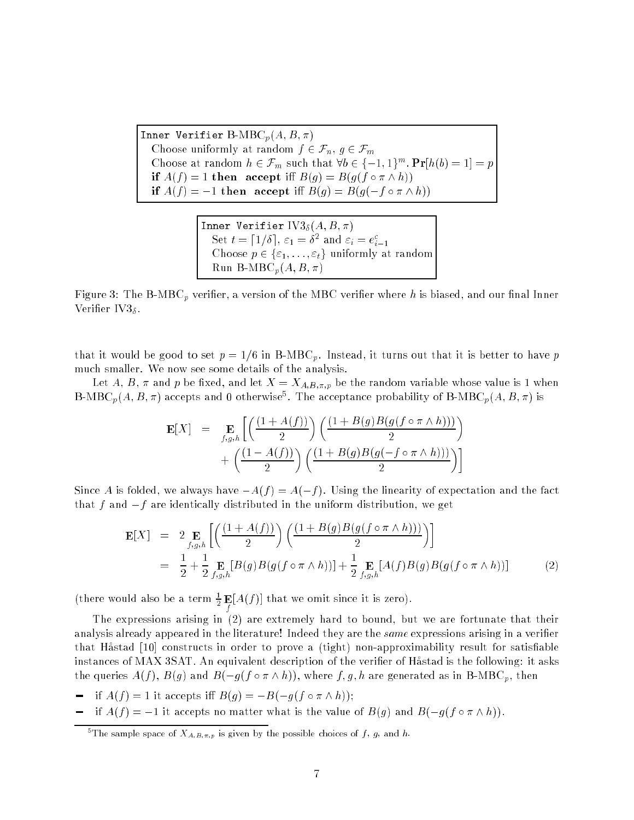Inner Verifier B-MBC<sub>p</sub> $(A, B, \pi)$ Choose uniformly at random  $f \in \mathcal{F}_n$ ,  $g \in \mathcal{F}_m$ Choose at random  $n \in \mathcal{F}_m$  such that  $\forall b \in \{-1, 1\}^{\sim}$ ,  $\mathbf{Pr}[n(b) = 1] = p$ if  $A(f) = 1$  then accept iff  $B(g) = B(g(f \circ \pi \wedge h))$ if  $A(f) = -1$  then accept iff  $B(g) = B(g(-f \circ \pi \wedge h))$ 

> In the Verifier II and  $U$ 3 (Assembly 1988). In the  $U$ 3 (Assembly 1988),  $U$ 3 (Assembly 1988),  $U$ 3 (Assembly 1988),  $U$ 3 (Assembly 1988),  $U$ 3 (Assembly 1988),  $U$ 3 (Assembly 1988),  $U$ 3 (Assembly 1988),  $U$ 3 (Assembly Set  $t = |1/\theta|, \, \varepsilon_1 = \sigma^2$  and  $\varepsilon_i = e_{i-1}$ Choose p 2 f"1; : : : ; "tg uniformly at random  $Run B-MBC_p(A, B, \pi)$

Figure 3: The B-MBC<sub>p</sub> verifier, a version of the MBC verifier where h is biased, and our final Inner Verifier IV3 $_{\delta}$ .

that it would be good to set  $p = 1/6$  in B-MBC<sub>p</sub>. Instead, it turns out that it is better to have p much smaller. We now see some details of the analysis.

Let A, B,  $\pi$  and p be fixed, and let  $X = X_{A,B,\pi,p}$  be the random variable whose value is 1 when B-MBC $_p(A, B, \pi)$  accepts and 0 otherwise . The acceptance probability of B-MBC $_p(A, B, \pi)$  is

$$
\mathbf{E}[X] = \mathop{\mathbf{E}}_{f,g,h} \left[ \left( \frac{(1 + A(f))}{2} \right) \left( \frac{(1 + B(g)B(g(f \circ \pi \wedge h)))}{2} \right) + \left( \frac{(1 - A(f))}{2} \right) \left( \frac{(1 + B(g)B(g(-f \circ \pi \wedge h))))}{2} \right) \right]
$$

Since A is folded, we always have  $-A(f) = A(-f)$ . Using the linearity of expectation and the fact that f and  $-f$  are identically distributed in the uniform distribution, we get

$$
\mathbf{E}[X] = 2 \mathop{\mathbf{E}}_{f,g,h} \left[ \left( \frac{(1 + A(f))}{2} \right) \left( \frac{(1 + B(g)B(g(f \circ \pi \wedge h)))}{2} \right) \right]
$$
  
=  $\frac{1}{2} + \frac{1}{2} \mathop{\mathbf{E}}_{f,g,h} [B(g)B(g(f \circ \pi \wedge h))] + \frac{1}{2} \mathop{\mathbf{E}}_{f,g,h} [A(f)B(g)B(g(f \circ \pi \wedge h))]$  (2)

(there would also be a term  $\frac{1}{2}$  **E**[A(f)] that we omit since it is zero).

 $\epsilon$ 

The expressions arising in (2) are extremely hard to bound, but we are fortunate that their analysis already appeared in the literature! Indeed they are the *same* expressions arising in a verifier that Hastad [10] constructs in order to prove a (tight) non-approximability result for satisable instances of MAX 3SAT. An equivalent description of the verifier of Håstad is the following: it asks the queries  $A(f)$ ,  $B(g)$  and  $B(-g(f \circ \pi \wedge h))$ , where f, g, h are generated as in B-MBC<sub>p</sub>, then

- if  $A(f) = 1$  it accepts iff  $B(g) = -B(-g(f \circ \pi \wedge h));$
- if  $A(f) = -1$  it accepts no matter what is the value of  $B(g)$  and  $B(-g(f \circ \pi \wedge h)).$

The sample space of  $A_{A,B,\pi,p}$  is given by the possible choices of f, g, and h.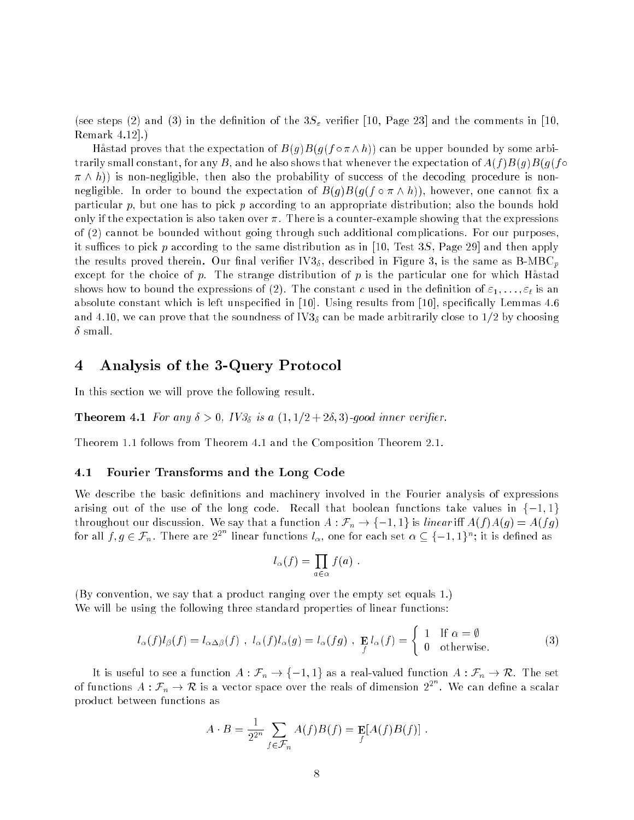(see steps (2) and (3) in the definition of the  $3S<sub>\varepsilon</sub>$  verifier [10, Page 23] and the comments in [10, Remark 4.12].)

Hastad proves that the expectation of  $B(g)B(g(f \circ \pi \wedge h))$  can be upper bounded by some arbitrarily small constant, for any B, and he also shows that whenever the expectation of  $A(f)B(g)B(g(f\circ$  $\pi \wedge h$ ) is non-negligible, then also the probability of success of the decoding procedure is nonnegligible. In order to bound the expectation of  $B(g)B(g(f \circ \pi \wedge h))$ , however, one cannot fix a particular p, but one has to pick p according to an appropriate distribution; also the bounds hold only if the expectation is also taken over  $\pi$ . There is a counter-example showing that the expressions of (2) cannot be bounded without going through such additional complications. For our purposes, it suffices to pick p according to the same distribution as in [10, Test 3S, Page 29] and then apply the results proved therein. Our final verifier  $\text{IV3}_{\delta}$ , described in Figure 3, is the same as B-MBC<sub>p</sub> except for the choice of p. The strange distribution of p is the particular one for which Hastad shows how to bound the expressions of (2). The constant c used in the definition of  $\varepsilon_1, \ldots, \varepsilon_t$  is an absolute constant which is left unspecified in [10]. Using results from [10], specifically Lemmas 4.6 and 4.10, we can prove that the soundness of IV3<sub>δ</sub> can be made arbitrarily close to 1/2 by choosing  $\delta$  small.

#### 4 4 Analysis of the 3-Query Protocol

In this section we will prove the following result.

**Theorem 4.1** For any  $\delta > 0$ , IV $\mathcal{S}_{\delta}$  is a  $(1, 1/2 + 2\delta, 3)$ -good inner verifier.

Theorem 1.1 follows from Theorem 4.1 and the Composition Theorem 2.1.

### 4.1 Fourier Transforms and the Long Code

We describe the basic definitions and machinery involved in the Fourier analysis of expressions arising out of the use of the long code. Recall that boolean functions take values in  $\{-1, 1\}$ throughout our discussion. We say that a function  $A : \mathcal{F}_n \to \{-1,1\}$  is linear iff  $A(f)A(g) = A(fg)$ for all  $f,g\in\mathcal{F}_n.$  There are  $2^{2^n}$  linear functions  $l_\alpha,$  one for each set  $\alpha\subseteq\{-1,1\}^n;$  it is defined as

$$
l_{\alpha}(f) = \prod_{a \in \alpha} f(a) .
$$

(By convention, we say that a product ranging over the empty set equals 1.) We will be using the following three standard properties of linear functions:

$$
l_{\alpha}(f)l_{\beta}(f) = l_{\alpha\Delta\beta}(f) , l_{\alpha}(f)l_{\alpha}(g) = l_{\alpha}(fg) , \mathbf{E}_{f}l_{\alpha}(f) = \begin{cases} 1 & \text{If } \alpha = \emptyset \\ 0 & \text{otherwise.} \end{cases}
$$
 (3)

It is useful to see a function  $A: \mathcal{F}_n \to \{-1,1\}$  as a real-valued function  $A: \mathcal{F}_n \to \mathcal{R}.$  The set of functions  $A:\mathcal{F}_n\to \mathcal{R}$  is a vector space over the reals of dimension  $2^{2^n}.$  We can define a scalar product between functions as

$$
A \cdot B = \frac{1}{2^{2^n}} \sum_{f \in \mathcal{F}_n} A(f) B(f) = \mathbf{E}[A(f) B(f)].
$$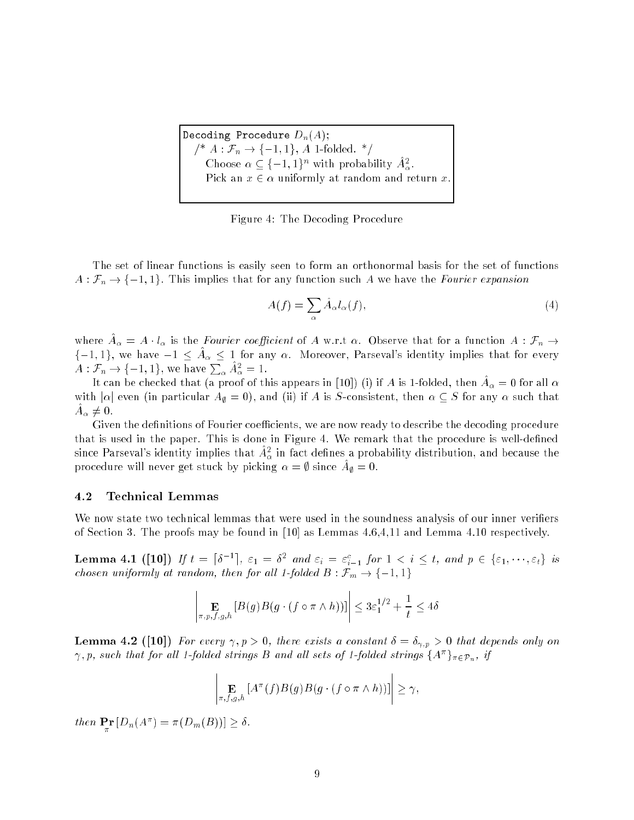Decoding Procedure  $D_n(A)$ ;  $\text{/}^*$   $A: \mathcal{F}_n \rightarrow \{-1,1\},$   $A$  1-folded.  $\text{*}/$ Choose  $\alpha \subseteq \{-1,1\}^n$  with probability  $A^*_\alpha$ . Pick an  $x \in \alpha$  uniformly at random and return x.

Figure 4: The Decoding Procedure

The set of linear functions is easily seen to form an orthonormal basis for the set of functions  $A: \mathcal{F}_n \to \{-1, 1\}.$  This implies that for any function such A we have the Fourier expansion

$$
A(f) = \sum_{\alpha} \hat{A}_{\alpha} l_{\alpha}(f), \qquad (4)
$$

where  $A_{\alpha} = A \cdot i_{\alpha}$  is the Fourier coefficient of A w.r.t  $\alpha$ . Observe that for a function  $A \cdot r_n \rightarrow$  $\{-1,1\}$ , we have  $-1 \leq A_{\alpha} \leq 1$  for any  $\alpha$ . Moreover, Parseval's identity implies that for every  $A: \mathcal{F}_n \to \{-1,1\}, \,\text{we have}\, \sum_{\alpha} A^2_{\alpha} = 1.$ 

It can be checked that (a proof of this appears in [10]) (i) if A is 1-folded, then  $A_\alpha = 0$  for all  $\alpha$ with  $|\alpha|$  even (in particular  $A_{\emptyset} = 0$ ), and (ii) if A is S-consistent, then  $\alpha \subseteq S$  for any  $\alpha$  such that  $\bm{\pi}_{\alpha}$   $\bm{\tau}$  v.

Given the definitions of Fourier coefficients, we are now ready to describe the decoding procedure that is used in the paper. This is done in Figure 4. We remark that the procedure is well-defined since Parseval's identity implies that  $A^2_\alpha$  in fact defines a probability distribution, and because the procedure will never get stuck by picking  $\alpha = \psi$  since  $A\psi = 0$ .

### 4.2 Technical Lemmas

We now state two technical lemmas that were used in the soundness analysis of our inner verifiers of Section 3. The proofs may be found in [10] as Lemmas 4.6,4,11 and Lemma 4.10 respectively.

 $\mathbf{A}$  . The set of the set of the set of the set of the set of the set of the set of the set of the set of the set of the set of the set of the set of the set of the set of the set of the set of the set of the set of t  $\lceil \delta^{-1} \rceil$ ,  $\varepsilon_1 = \sigma$  and  $\varepsilon_i = \varepsilon_{i-1}$  for  $1 \leq i \leq \iota$ , and  $p \in {\varepsilon_{i}, \dots, \varepsilon_{t}}$  is chosen uniformly at random, then for all 1-folded  $B : \mathcal{F}_m \to \{-1, 1\}$ 

$$
\left| \underset{\pi, p, f, g, h}{\mathbf{E}} \left[ B(g) B(g \cdot (f \circ \pi \wedge h)) \right] \right| \leq 3 \varepsilon_1^{1/2} + \frac{1}{t} \leq 4 \delta
$$

**Lemma 4.2** ([10]) For every  $\gamma, p > 0$ , there exists a constant  $\delta = \delta_{\gamma, p} > 0$  that depends only on  $\gamma, p$ , such that for all 1-folded strings B and all sets of 1-folded strings  $\{A^-\}_{\pi\in\mathcal{P}_n}, \; \bar{y}$ 

$$
\left| \underset{\pi, f, g, h}{\mathbf{E}} \left[ A^{\pi}(f) B(g) B(g \cdot (f \circ \pi \wedge h)) \right] \right| \geq \gamma,
$$

then  $\mathbf{r} \mathbf{r} | D_n(A^{\dagger}) = \pi(D_m(D)) | > 0$ .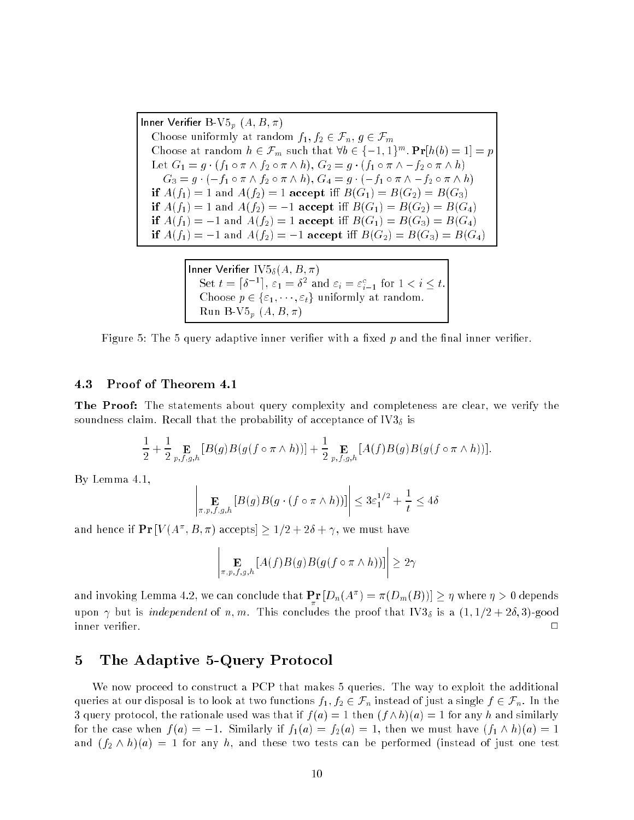Inner Verifier B-V $5_p$   $(A, B, \pi)$ Choose uniformly at random  $f_1, f_2 \in \mathcal{F}_n, g \in \mathcal{F}_m$ Choose at random  $n \in \mathcal{F}_m$  such that  $\forall b \in \{-1, 1\}^{\cdots}$ . **Pr**[h(b)  $\equiv 1$ ]  $\equiv p$ Let  $G_1 = g \cdot (f_1 \circ \pi \wedge f_2 \circ \pi \wedge h), G_2 = g \cdot (f_1 \circ \pi \wedge -f_2 \circ \pi \wedge h)$  $G_3 = g \cdot (-f_1 \circ \pi \wedge f_2 \circ \pi \wedge h), G_4 = g \cdot (-f_1 \circ \pi \wedge -f_2 \circ \pi \wedge h)$ if  $A(f_1) = 1$  and  $A(f_2) = 1$  accept iff  $B(G_1) = B(G_2) = B(G_3)$ if  $A(f_1) = 1$  and  $A(f_2) = -1$  accept iff  $B(G_1) = B(G_2) = B(G_4)$ if  $A(f_1) = -1$  and  $A(f_2) = 1$  accept iff  $B(G_1) = B(G_3) = B(G_4)$ if  $A(f_1) = -1$  and  $A(f_2) = -1$  accept iff  $B(G_2) = B(G_3) = B(G_4)$ 

> Inner Verier IV5 (A; B; )  $\lceil \delta^{-1} \rceil$  $\epsilon_1 = \sigma$  and  $\varepsilon_i = \varepsilon_{i-1}$  for  $1 \leq i \leq i$ .  $\blacksquare$  is a formulated problem at random. The contract of the set of  $\blacksquare$ Run B-V $5_p$   $(A, B, \pi)$

Figure 5: The 5 query adaptive inner verifier with a fixed  $p$  and the final inner verifier.

### 4.3 Proof of Theorem 4.1

**The Proof:** The statements about query complexity and completeness are clear, we verify the soundness claim. Recall that the probability of acceptance of IV3 $_{\delta}$  is

$$
\frac{1}{2} + \frac{1}{2} \mathop{\mathbf{E}}_{p,f,g,h} \left[ B(g) B(g(f \circ \pi \wedge h)) \right] + \frac{1}{2} \mathop{\mathbf{E}}_{p,f,g,h} \left[ A(f) B(g) B(g(f \circ \pi \wedge h)) \right].
$$

By Lemma 4.1,

$$
\left| \underset{\pi, p, f, g, h}{\mathbf{E}} \left[ B(g) B(g \cdot (f \circ \pi \wedge h)) \right] \right| \leq 3 \varepsilon_1^{1/2} + \frac{1}{t} \leq 4\delta
$$

and hence if  $\mathbf{F} \mathbf{r} | V(A^+, D, \pi)$  accepts  $> 1/2 + 2\sigma + \gamma$ , we must have

$$
\left|\mathop{\mathbf{E}}_{\pi,p,f,g,h}\left[A(f)B(g)B(g(f\circ\pi\wedge h))\right]\right|\geq 2\gamma
$$

and invoking Lemma 4.2, we can conclude that  ${\bf fr}\left[ D_n(A^{\times})\equiv \pi\left( D_m(D)\right) \right]\geq \eta$  where  $\eta>0$  depends upon  $\gamma$  but is *independent* of n, m. This concludes the proof that IV3<sub>δ</sub> is a  $(1, 1/2 + 2\delta, 3)$ -good inner verifier.  $\Box$ 

# 5 The Adaptive 5-Query Protocol

We now proceed to construct a PCP that makes 5 queries. The way to exploit the additional queries at our disposal is to look at two functions  $f_1, f_2 \in \mathcal{F}_n$  instead of just a single  $f \in \mathcal{F}_n$ . In the 3 query protocol, the rationale used was that if  $f(a) = 1$  then  $(f \wedge h)(a) = 1$  for any h and similarly for the case when  $f(a) = -1$ . Similarly if  $f_1(a) = f_2(a) = 1$ , then we must have  $(f_1 \wedge h)(a) = 1$ and  $(f_2 \wedge h)(a) = 1$  for any h, and these two tests can be performed (instead of just one test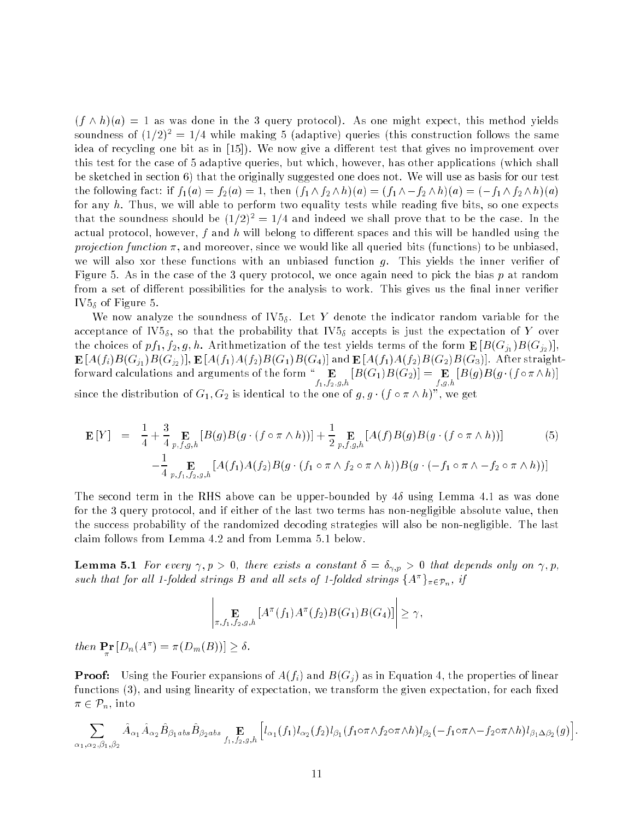$(f \wedge h)(a) = 1$  as was done in the 3 query protocol). As one might expect, this method yields soundness of  $(1/2)^2 = 1/4$  while making 5 (adaptive) queries (this construction follows the same idea of recycling one bit as in [15]). We now give a different test that gives no improvement over this test for the case of 5 adaptive queries, but which, however, has other applications (which shall be sketched in section 6) that the originally suggested one does not. We will use as basis for our test the following fact: if  $f_1(a) = f_2(a) = 1$ , then  $(f_1 \wedge f_2 \wedge h)(a) = (f_1 \wedge -f_2 \wedge h)(a) = (-f_1 \wedge f_2 \wedge h)(a)$ for any  $h$ . Thus, we will able to perform two equality tests while reading five bits, so one expects that the soundness should be  $(1/2)^2 = 1/4$  and indeed we shall prove that to be the case. In the actual protocol, however,  $f$  and  $h$  will belong to different spaces and this will be handled using the projection function  $\pi$ , and moreover, since we would like all queried bits (functions) to be unbiased, we will also xor these functions with an unbiased function  $q$ . This yields the inner verifier of Figure 5. As in the case of the 3 query protocol, we once again need to pick the bias  $p$  at random from a set of different possibilities for the analysis to work. This gives us the final inner verifier  $IV5_{\delta}$  of Figure 5.

We now analyze the soundness of  $IV5<sub>\delta</sub>$ . Let Y denote the indicator random variable for the acceptance of IV5<sub> $\delta$ </sub>, so that the probability that IV5<sub> $\delta$ </sub> accepts is just the expectation of Y over the choices of  $pf_1, f_2, g, h$ . Arithmetization of the test yields terms of the form  $\mathbf{E}[B(G_{j_1})B(G_{j_2})],$  $B$ (fi)B(f)B(Gj1)B(Gj2)]) $B$ (fi(J1)A(fi(J2)B(G1)B(G4)] and  $B$ (fi(J1)A(fi(J2)B(G2)B(G3)]. After straightfor the figure calculations of the form  $f_1, f_2, g, h$   $\downarrow$   $\vdots$   $\downarrow$   $\downarrow$   $\downarrow$   $\downarrow$   $\downarrow$   $\downarrow$   $\downarrow$   $\downarrow$   $\downarrow$   $\downarrow$   $\downarrow$   $\downarrow$   $\downarrow$   $\downarrow$   $\downarrow$   $\downarrow$   $\downarrow$   $\downarrow$   $\downarrow$   $\downarrow$   $\downarrow$   $\downarrow$   $\downarrow$   $\downarrow$   $\downarrow$   $\downarrow$  $\mathbf{B} = \mathbf{B} \cdot \mathbf{B}$ since the distribution of  $G_1, G_2$  is identical to the one of  $g, g \cdot (f \circ \pi \wedge h)$ ", we get

$$
\mathbf{E}[Y] = \frac{1}{4} + \frac{3}{4} \mathop{\mathbf{E}}_{p,f,g,h} [B(g)B(g \cdot (f \circ \pi \wedge h))] + \frac{1}{2} \mathop{\mathbf{E}}_{p,f,g,h} [A(f)B(g)B(g \cdot (f \circ \pi \wedge h))] - \frac{1}{4} \mathop{\mathbf{E}}_{p,f,1,f_2,g,h} [A(f_1)A(f_2)B(g \cdot (f_1 \circ \pi \wedge f_2 \circ \pi \wedge h))B(g \cdot (-f_1 \circ \pi \wedge -f_2 \circ \pi \wedge h))]
$$
\n(5)

The second term in the RHS above can be upper-bounded by  $4\delta$  using Lemma 4.1 as was done for the 3 query protocol, and if either of the last two terms has non-negligible absolute value, then the success probability of the randomized decoding strategies will also be non-negligible. The last claim follows from Lemma 4.2 and from Lemma 5.1 below.

**Lemma 5.1** For every  $\gamma, p > 0$ , there exists a constant  $\delta = \delta_{\gamma, p} > 0$  that depends only on  $\gamma, p$ , such that for all 1-folded strings B and all sets of 1-folded strings  $\{A^{\top}\}_{\pi\in \mathcal{P}_n}, \; \eta$ 

$$
\left|\mathop{\mathbf{E}}_{\pi,f_1,f_2,g,h}\left[A^\pi(f_1)A^\pi(f_2)B(G_1)B(G_4)\right]\right|\geq \gamma,
$$

and the state of the state of the

then  $\mathbf{r}_\pi^{\mathbf{r}}[D_n(A)] = \pi(D_m(D))] \geq 0$ .

and the state of the state of the

**Proof:** Using the Fourier expansions of  $A(f_i)$  and  $B(G_i)$  as in Equation 4, the properties of linear functions  $(3)$ , and using linearity of expectation, we transform the given expectation, for each fixed  $\pi \in \mathcal{P}_n$ , into

$$
\sum_{\alpha_1,\alpha_2,\beta_1,\beta_2} \hat{A}_{\alpha_1} \hat{A}_{\alpha_2} \hat{B}_{\beta_1 a b s} \hat{B}_{\beta_2 a b s} \underset{f_1,f_2,g,h}{\mathbf{E}} \left[ l_{\alpha_1}(f_1) l_{\alpha_2}(f_2) l_{\beta_1}(f_1 \circ \pi \wedge f_2 \circ \pi \wedge h) l_{\beta_2}(-f_1 \circ \pi \wedge -f_2 \circ \pi \wedge h) l_{\beta_1 \Delta \beta_2}(g) \right]
$$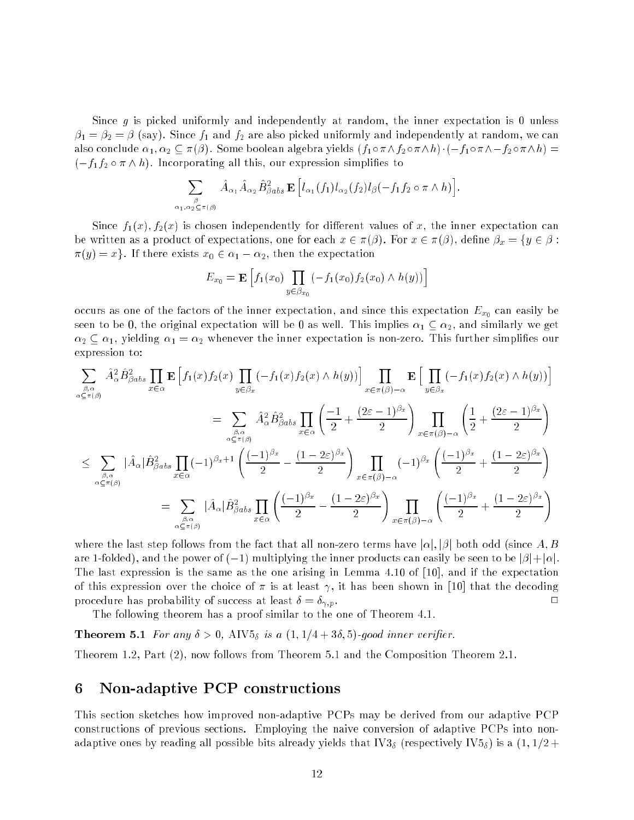Since g is picked uniformly and independently at random, the inner expectation is 0 unless  $\beta_1 = \beta_2 = \beta$  (say). Since  $f_1$  and  $f_2$  are also picked uniformly and independently at random, we can also conclude  $\alpha_1, \alpha_2 \subseteq \pi(\beta)$ . Some boolean algebra yields  $(f_1 \circ \pi \wedge f_2 \circ \pi \wedge h) \cdot (-f_1 \circ \pi \wedge -f_2 \circ \pi \wedge h) =$  $(-f_1f_2 \circ \pi \wedge h)$ . Incorporating all this, our expression simplifies to

$$
\sum_{\beta \atop \alpha_1, \alpha_2 \subseteq \pi(\beta)} \hat{A}_{\alpha_1} \hat{A}_{\alpha_2} \hat{B}_{\beta abs}^2 \mathbf{E} \left[ l_{\alpha_1}(f_1) l_{\alpha_2}(f_2) l_{\beta}(-f_1 f_2 \circ \pi \wedge h) \right].
$$

Since  $f_1(x)$ ,  $f_2(x)$  is chosen independently for different values of x, the inner expectation can be written as a product of expectations, one for each  $x \in \pi(\beta)$ . For  $x \in \pi(\beta)$ , define  $\beta_x = \{y \in \beta :$  $\pi(y) = x$ . If there exists  $x_0 \in \alpha_1 - \alpha_2$ , then the expectation

$$
E_{x_0} = \mathbf{E}\left[f_1(x_0) \prod_{y \in \beta_{x_0}} (-f_1(x_0) f_2(x_0) \wedge h(y))\right]
$$

occurs as one of the factors of the inner expectation, and since this expectation  $E_{x_0}$  can easily be seen to be 0, the original expectation will be 0 as well. This implies  $\alpha_1 \subseteq \alpha_2$ , and similarly we get  $\alpha_2 \subseteq \alpha_1$ , yielding  $\alpha_1 = \alpha_2$  whenever the inner expectation is non-zero. This further simplifies our expression to:

$$
\sum_{\substack{\beta,\alpha\\\alpha \subseteq \pi(\beta)}} \hat{A}_{\alpha}^{2} \hat{B}_{\beta}^{2}{}_{abs} \prod_{x \in \alpha} \mathbf{E} \left[ f_{1}(x) f_{2}(x) \prod_{y \in \beta_{x}} (-f_{1}(x) f_{2}(x) \wedge h(y)) \right] \prod_{x \in \pi(\beta)-\alpha} \mathbf{E} \left[ \prod_{y \in \beta_{x}} (-f_{1}(x) f_{2}(x) \wedge h(y)) \right]
$$
\n
$$
= \sum_{\substack{\beta,\alpha\\\alpha \subseteq \pi(\beta)}} \hat{A}_{\alpha}^{2} \hat{B}_{\beta}^{2}{}_{abs} \prod_{x \in \alpha} \left( \frac{-1}{2} + \frac{(2\varepsilon-1)^{\beta_{x}}}{2} \right) \prod_{x \in \pi(\beta)-\alpha} \left( \frac{1}{2} + \frac{(2\varepsilon-1)^{\beta_{x}}}{2} \right)
$$
\n
$$
\leq \sum_{\substack{\beta,\alpha\\\alpha \subseteq \pi(\beta)}} |\hat{A}_{\alpha}| \hat{B}_{\beta}^{2}{}_{abs} \prod_{x \in \alpha} (-1)^{\beta_{x}+1} \left( \frac{(-1)^{\beta_{x}}}{2} - \frac{(1-2\varepsilon)^{\beta_{x}}}{2} \right) \prod_{x \in \pi(\beta)-\alpha} (-1)^{\beta_{x}} \left( \frac{(-1)^{\beta_{x}}}{2} + \frac{(1-2\varepsilon)^{\beta_{x}}}{2} \right)
$$
\n
$$
= \sum_{\substack{\beta,\alpha\\\alpha \subseteq \pi(\beta)}} |\hat{A}_{\alpha}| \hat{B}_{\beta}^{2}{}_{abs} \prod_{x \in \alpha} \left( \frac{(-1)^{\beta_{x}}}{2} - \frac{(1-2\varepsilon)^{\beta_{x}}}{2} \right) \prod_{x \in \pi(\beta)-\alpha} \left( \frac{(-1)^{\beta_{x}}}{2} + \frac{(1-2\varepsilon)^{\beta_{x}}}{2} \right)
$$

where the last step follows from the fact that all non-zero terms have  $|\alpha|, |\beta|$  both odd (since A, B are 1-folded), and the power of  $(-1)$  multiplying the inner products can easily be seen to be  $|\beta|+|\alpha|$ . The last expression is the same as the one arising in Lemma 4.10 of [10], and if the expectation of this expression over the choice of  $\pi$  is at least  $\gamma$ , it has been shown in [10] that the decoding procedure has probability of success at least  $\delta = \delta_{\gamma, p}$ .

The following theorem has a proof similar to the one of Theorem 4.1.

**Theorem 5.1** For any  $\delta > 0$ , AIV $5_{\delta}$  is a  $(1, 1/4 + 3\delta, 5)$ -good inner verifier.

Theorem 1.2, Part (2), now follows from Theorem 5.1 and the Composition Theorem 2.1.

#### 6 6 Non-adaptive PCP constructions

This section sketches how improved non-adaptive PCPs may be derived from our adaptive PCP constructions of previous sections. Employing the naive conversion of adaptive PCPs into nonadaptive ones by reading all possible bits already yields that IV3<sub>δ</sub> (respectively IV5<sub>δ</sub>) is a  $(1,1/2 +$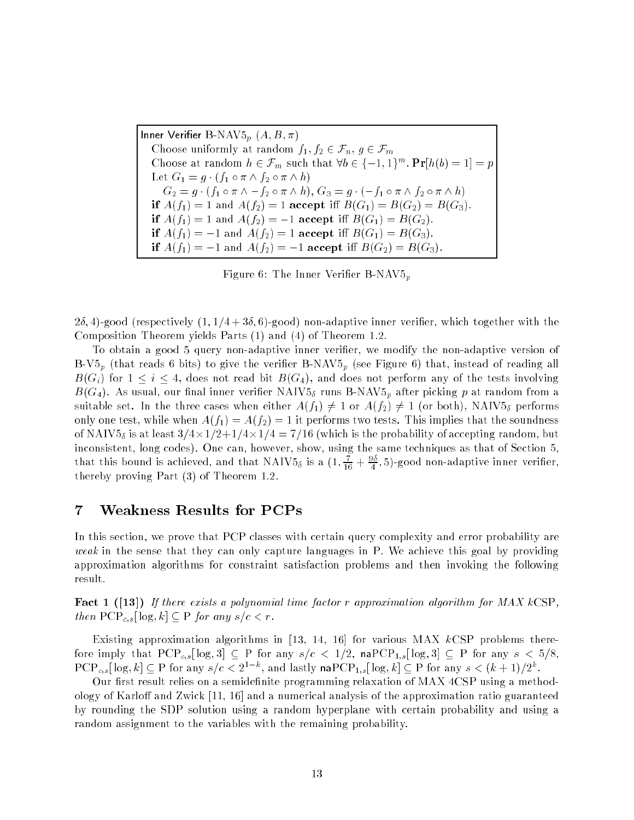Inner Verifier B-NAV $5_p$   $(A, B, \pi)$ Choose uniformly at random  $f_1, f_2 \in \mathcal{F}_n, g \in \mathcal{F}_m$ Choose at random  $n \in \mathcal{F}_m$  such that  $\forall b \in \{-1, 1\}^{\sim}$ ,  $\mathbf{Pr}[n(b) = 1] = p$ Let  $G_1 = g \cdot (f_1 \circ \pi \wedge f_2 \circ \pi \wedge h)$  $G_2 = g \cdot (f_1 \circ \pi \wedge -f_2 \circ \pi \wedge h), G_3 = g \cdot (-f_1 \circ \pi \wedge f_2 \circ \pi \wedge h)$ if  $A(f_1) = 1$  and  $A(f_2) = 1$  accept iff  $B(G_1) = B(G_2) = B(G_3)$ . if  $A(f_1) = 1$  and  $A(f_2) = -1$  accept iff  $B(G_1) = B(G_2)$ . if  $A(f_1) = -1$  and  $A(f_2) = 1$  accept iff  $B(G_1) = B(G_3)$ . if  $A(f_1) = -1$  and  $A(f_2) = -1$  accept iff  $B(G_2) = B(G_3)$ .

Figure 6: The Inner Verifier  $B-NAV5_n$ 

 $2\delta$ , 4)-good (respectively  $(1, 1/4 + 3\delta, 6)$ -good) non-adaptive inner verifier, which together with the Composition Theorem yields Parts (1) and (4) of Theorem 1.2.

To obtain a good 5 query non-adaptive inner verier, we modify the non-adaptive version of B-V5<sub>p</sub> (that reads 6 bits) to give the verifier B-NAV5<sub>p</sub> (see Figure 6) that, instead of reading all  $B(G_i)$  for  $1 \leq i \leq 4$ , does not read bit  $B(G_4)$ , and does not perform any of the tests involving  $B(G_4)$ . As usual, our final inner verifier NAIV5<sub>δ</sub> runs B-NAV5<sub>p</sub> after picking p at random from a suitable set. In the three cases when either  $A(f_1) \neq 1$  or  $A(f_2) \neq 1$  (or both), NAIV5<sub>5</sub> performs only one test, while when  $A(f_1) = A(f_2) = 1$  it performs two tests. This implies that the soundness of NAIV5 is at least 3=4-1=2+1=4-1=4 = 7=16 (which is the probability of accepting random, but inconsistent, long codes). One can, however, show, using the same techniques as that of Section 5, that this bound is achieved, and that NAIV58 is a  $(1,\frac{16}{16}+\frac{\gamma}{4},5)$ -good non-adaptive inner veriner, thereby proving Part (3) of Theorem 1.2.

#### $\overline{7}$ 7 Weakness Results for PCPs

In this section, we prove that PCP classes with certain query complexity and error probability are weak in the sense that they can only capture languages in P. We achieve this goal by providing approximation algorithms for constraint satisfaction problems and then invoking the following result.

**Fact 1 ([13])** If there exists a polynomial time factor r approximation algorithm for  $MAX$  kCSP, then  $PCP_{c,s}[\log,k] \subset P$  for any  $s/c < r$ .

Existing approximation algorithms in [13, 14, 16] for various MAX  $k\text{CSP}$  problems therefore imply that  $PCP_{c,s}[\log,3] \subseteq P$  for any  $s/c < 1/2$ , na $PCP_{1,s}[\log,3] \subseteq P$  for any  $s < 5/8$ ,  $\text{PCP}_{c,s}[\log, k] \subseteq \text{P}$  for any  $s/c < 2^+$  , and lastly nap $\text{CF}_{1,s}[\log, k] \subseteq \text{P}$  for any  $s < (k+1)/2^+$ .

Our first result relies on a semidefinite programming relaxation of MAX 4CSP using a methodology of Karloff and Zwick  $[11, 16]$  and a numerical analysis of the approximation ratio guaranteed by rounding the SDP solution using a random hyperplane with certain probability and using a random assignment to the variables with the remaining probability.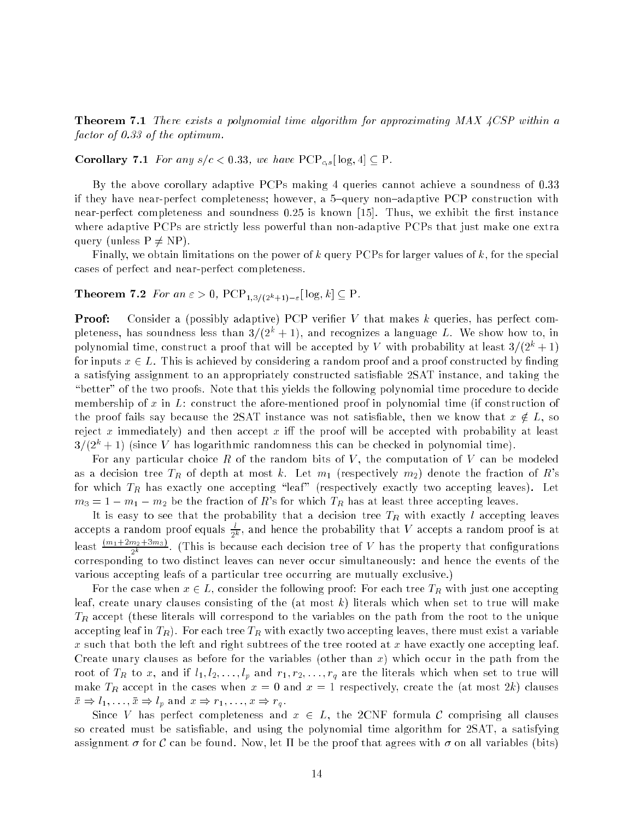**Theorem 7.1** There exists a polynomial time algorithm for approximating MAX  $4CSP$  within a factor of 0.33 of the optimum.

**Corollary 7.1** For any  $s/c < 0.33$ , we have  $PCP_{c,s}[\log A] \subseteq P$ .

By the above corollary adaptive PCPs making 4 queries cannot achieve a soundness of 0.33 if they have near-perfect completeness; however, a 5-query non-adaptive PCP construction with near-perfect completeness and soundness  $0.25$  is known [15]. Thus, we exhibit the first instance where adaptive PCPs are strictly less powerful than non-adaptive PCPs that just make one extra query (unless  $P \neq NP$ ).

Finally, we obtain limitations on the power of k query PCPs for larger values of  $k$ , for the special cases of perfect and near-perfect completeness.

**Theorem 7.2** For an  $\varepsilon > 0$ ,  $PCP_{1,3/(2^k+1)-\varepsilon}[\log k] \subseteq P$ .

**Proof:** Consider a (possibly adaptive) PCP verifier  $V$  that makes  $k$  queries, has perfect completeness, has soundness less than  $3/(2<sup>k</sup> + 1)$ , and recognizes a language L. We show how to, in polynomial time, construct a proof that will be accepted by V with probability at least  $3/(2^k + 1)$ for inputs  $x \in L$ . This is achieved by considering a random proof and a proof constructed by finding a satisfying assignment to an appropriately constructed satisfiable 2SAT instance, and taking the "better" of the two proofs. Note that this yields the following polynomial time procedure to decide membership of x in  $L$ : construct the afore-mentioned proof in polynomial time (if construction of the proof fails say because the 2SAT instance was not satisfiable, then we know that  $x \notin L$ , so reject x immediately) and then accept x iff the proof will be accepted with probability at least  $3/(2^k + 1)$  (since V has logarithmic randomness this can be checked in polynomial time).

For any particular choice R of the random bits of V, the computation of V can be modeled as a decision tree  $T_R$  of depth at most k. Let  $m_1$  (respectively  $m_2$ ) denote the fraction of R's for which  $T_R$  has exactly one accepting "leaf" (respectively exactly two accepting leaves). Let  $m_3 = 1 - m_1 - m_2$  be the fraction of R's for which  $T_R$  has at least three accepting leaves.

It is easy to see that the probability that a decision tree  $T_R$  with exactly  $l$  accepting leaves accepts a random proof equals  $\frac{1}{2k}$ , and hence the probability that  $V$  accepts a random proof is at least  $\frac{\sqrt{m_1+m_2+m_3}}{2k}$ . (This is because each decision tree of V has the property that configurations corresponding to two distinct leaves can never occur simultaneously: and hence the events of the various accepting leafs of a particular tree occurring are mutually exclusive.)

For the case when  $x \in L$ , consider the following proof: For each tree  $T_R$  with just one accepting leaf, create unary clauses consisting of the (at most  $k$ ) literals which when set to true will make  $T_R$  accept (these literals will correspond to the variables on the path from the root to the unique accepting leaf in  $T_R$ ). For each tree  $T_R$  with exactly two accepting leaves, there must exist a variable x such that both the left and right subtrees of the tree rooted at x have exactly one accepting leaf. Create unary clauses as before for the variables (other than x) which occur in the path from the root of  $T_R$  to x, and if  $l_1, l_2, \ldots, l_p$  and  $r_1, r_2, \ldots, r_q$  are the literals which when set to true will make  $T_R$  accept in the cases when  $x = 0$  and  $x = 1$  respectively, create the (at most 2k) clauses  $\bar{x} \Rightarrow l_1, \ldots, \bar{x} \Rightarrow l_p \text{ and } x \Rightarrow r_1, \ldots, x \Rightarrow r_q.$ 

Since V has perfect completeness and  $x \in L$ , the 2CNF formula C comprising all clauses so created must be satisfiable, and using the polynomial time algorithm for 2SAT, a satisfying assignment  $\sigma$  for C can be found. Now, let  $\Pi$  be the proof that agrees with  $\sigma$  on all variables (bits)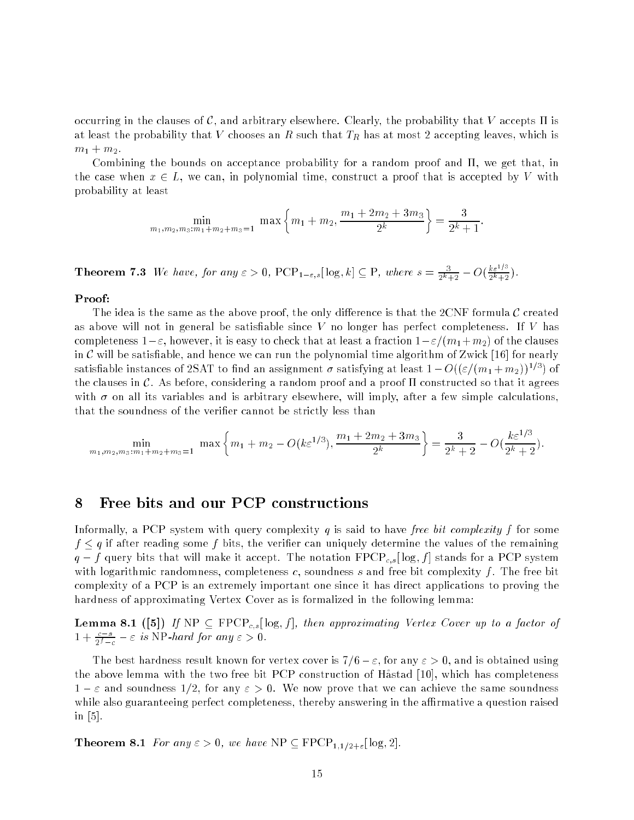occurring in the clauses of C, and arbitrary elsewhere. Clearly, the probability that V accepts  $\Pi$  is at least the probability that V chooses an R such that  $T_R$  has at most 2 accepting leaves, which is  $m_1 + m_2$ .

Combining the bounds on acceptance probability for a random proof and  $\Pi$ , we get that, in the case when  $x \in L$ , we can, in polynomial time, construct a proof that is accepted by V with probability at least

$$
\min_{m_1, m_2, m_3: m_1 + m_2 + m_3 = 1} \max \left\{ m_1 + m_2, \frac{m_1 + 2m_2 + 3m_3}{2^k} \right\} = \frac{3}{2^k + 1}
$$

**Theorem 7.3** We have, for any  $\varepsilon > 0$ ,  $\text{PCP}_{1-\varepsilon,s}[\log_{\gamma} k] \subseteq \text{P}$ , where  $s = \frac{1}{2^{k}+2} - O(k)$  $k\varepsilon^{1/3}$  $2^k+2$  ).

### Proof:

The idea is the same as the above proof, the only difference is that the 2CNF formula  ${\cal C}$  created as above will not in general be satisfiable since  $V$  no longer has perfect completeness. If  $V$  has completeness  $1-\varepsilon$ , however, it is easy to check that at least a fraction  $1-\varepsilon/(m_1+m_2)$  of the clauses in C will be satisfiable, and hence we can run the polynomial time algorithm of Zwick [16] for nearly satisfrable instances of 2SAT to find an assignment  $\sigma$  satisfying at least  $1-O((\varepsilon/(m_1+m_2))^{\varepsilon_{i-1}}$  of the clauses in C. As before, considering a random proof and a proof  $\Pi$  constructed so that it agrees with  $\sigma$  on all its variables and is arbitrary elsewhere, will imply, after a few simple calculations, that the soundness of the verifier cannot be strictly less than

$$
\min_{m_1, m_2, m_3: m_1 + m_2 + m_3 = 1} \max \left\{ m_1 + m_2 - O(k \varepsilon^{1/3}), \frac{m_1 + 2m_2 + 3m_3}{2^k} \right\} = \frac{3}{2^k + 2} - O(\frac{k \varepsilon^{1/3}}{2^k + 2}).
$$

# 8 Free bits and our PCP constructions

Informally, a PCP system with query complexity q is said to have free bit complexity f for some  $f \leq q$  if after reading some f bits, the verifier can uniquely determine the values of the remaining  $q - f$  query bits that will make it accept. The notation  $\text{FPCP}_{c,s}[\log, f]$  stands for a PCP system with logarithmic randomness, completeness c, soundness s and free bit complexity f. The free bit complexity of a PCP is an extremely important one since it has direct applications to proving the hardness of approximating Vertex Cover as is formalized in the following lemma:

**Lemma 8.1** ([5]) If  $NP \subseteq FPCP_{c,s}[\log f]$ , then approximating Vertex Cover up to a factor of  $1 + \frac{1}{2^{f-c}} - \varepsilon$  is NP-hard for any  $\varepsilon > 0$ .

The best hardness result known for vertex cover is  $7/6-\varepsilon$ , for any  $\varepsilon > 0$ , and is obtained using the above lemma with the two free bit PCP construction of Håstad [10], which has completeness  $1-\varepsilon$  and soundness  $1/2$ , for any  $\varepsilon > 0$ . We now prove that we can achieve the same soundness while also guaranteeing perfect completeness, thereby answering in the affirmative a question raised in [5].

**Theorem 8.1** For any  $\varepsilon > 0$ , we have NP  $\subseteq$  FPCP<sub>1,1/2+ $\varepsilon$ </sub>[log, 2].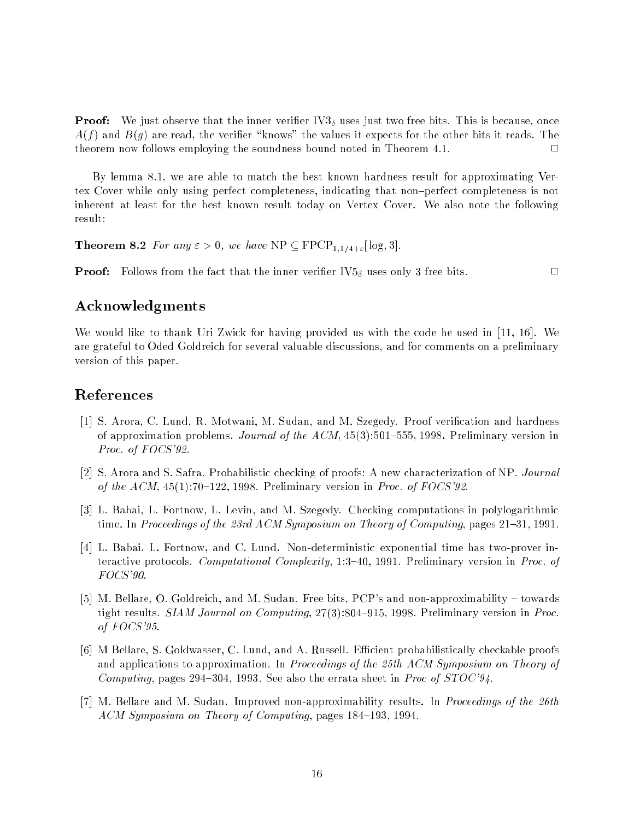**Proof:** We just observe that the inner verifier  $IV3<sub>δ</sub>$  uses just two free bits. This is because, once  $A(f)$  and  $B(g)$  are read, the verifier "knows" the values it expects for the other bits it reads. The  $\Box$ theorem now follows employing the soundness bound noted in Theorem 4.1. <sup>2</sup>

By lemma 8.1, we are able to match the best known hardness result for approximating Vertex Cover while only using perfect completeness, indicating that non{perfect completeness is not inherent at least for the best known result today on Vertex Cover. We also note the following result:

**Theorem 8.2** For any  $\varepsilon > 0$ , we have NP  $\subseteq$  FPCP<sub>1,1/4+ $\varepsilon$ </sub>[log, 3].

**Proof:** Follows from the fact that the inner verifier  $IV5_{\delta}$  uses only 3 free bits.

# Acknowledgments

We would like to thank Uri Zwick for having provided us with the code he used in [11, 16]. We are grateful to Oded Goldreich for several valuable discussions, and for comments on a preliminary version of this paper.

# References

- [1] S. Arora, C. Lund, R. Motwani, M. Sudan, and M. Szegedy. Proof verication and hardness of approximation problems. Journal of the  $ACM$ , 45(3):501–555, 1998. Preliminary version in Proc. of FOCS'92.
- [2] S. Arora and S. Safra. Probabilistic checking of proofs: A new characterization of NP. Journal of the  $ACM$ ,  $45(1)$ :70-122, 1998. Preliminary version in *Proc.* of FOCS'92.
- [3] L. Babai, L. Fortnow, L. Levin, and M. Szegedy. Checking computations in polylogarithmic time. In Proceedings of the 23rd ACM Symposium on Theory of Computing, pages  $21{\text -}31$ , 1991.
- [4] L. Babai, L. Fortnow, and C. Lund. Non-deterministic exponential time has two-prover interactive protocols. Computational Complexity, 1:3-40, 1991. Preliminary version in Proc. of FOCS'90.
- [5] M. Bellare, O. Goldreich, and M. Sudan. Free bits, PCP's and non-approximability  $-$  towards tight results.  $SIAM Journal$  on Computing,  $27(3):804-915$ , 1998. Preliminary version in Proc. of FOCS'95.
- [6] M Bellare, S. Goldwasser, C. Lund, and A. Russell. Efficient probabilistically checkable proofs and applications to approximation. In Proceedings of the 25th ACM Symposium on Theory of Computing, pages 294-304, 1993. See also the errata sheet in *Proc of STOC'94*.
- [7] M. Bellare and M. Sudan. Improved non-approximability results. In Proceedings of the 26th ACM Symposium on Theory of Computing, pages 184–193, 1994.